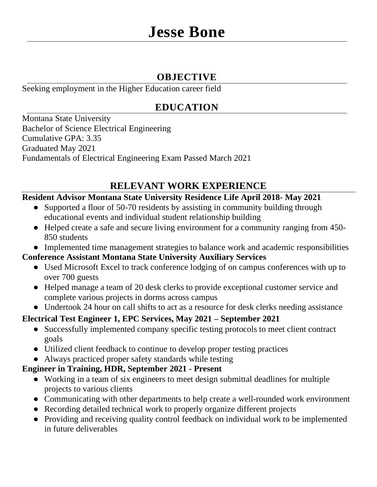## **OBJECTIVE**

Seeking employment in the Higher Education career field

# **EDUCATION**

Montana State University Bachelor of Science Electrical Engineering Cumulative GPA: 3.35 Graduated May 2021 Fundamentals of Electrical Engineering Exam Passed March 2021

# **RELEVANT WORK EXPERIENCE**

#### **Resident Advisor Montana State University Residence Life April 2018- May 2021**

- Supported a floor of 50-70 residents by assisting in community building through educational events and individual student relationship building
- Helped create a safe and secure living environment for a community ranging from 450- 850 students
- Implemented time management strategies to balance work and academic responsibilities

#### **Conference Assistant Montana State University Auxiliary Services**

- Used Microsoft Excel to track conference lodging of on campus conferences with up to over 700 guests
- Helped manage a team of 20 desk clerks to provide exceptional customer service and complete various projects in dorms across campus
- Undertook 24 hour on call shifts to act as a resource for desk clerks needing assistance

### **Electrical Test Engineer 1, EPC Services, May 2021 – September 2021**

- Successfully implemented company specific testing protocols to meet client contract goals
- Utilized client feedback to continue to develop proper testing practices
- Always practiced proper safety standards while testing

#### **Engineer in Training, HDR, September 2021 - Present**

- Working in a team of six engineers to meet design submittal deadlines for multiple projects to various clients
- Communicating with other departments to help create a well-rounded work environment
- Recording detailed technical work to properly organize different projects
- Providing and receiving quality control feedback on individual work to be implemented in future deliverables